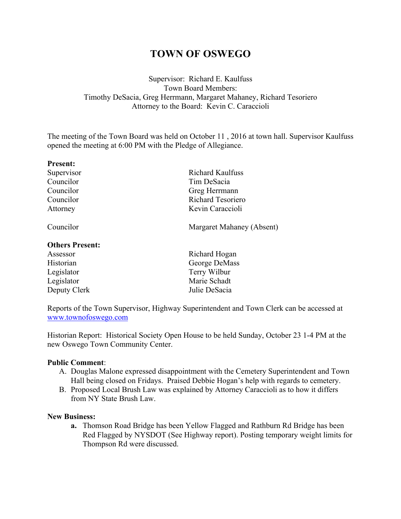# **TOWN OF OSWEGO**

## Supervisor: Richard E. Kaulfuss Town Board Members: Timothy DeSacia, Greg Herrmann, Margaret Mahaney, Richard Tesoriero Attorney to the Board: Kevin C. Caraccioli

The meeting of the Town Board was held on October 11 , 2016 at town hall. Supervisor Kaulfuss opened the meeting at 6:00 PM with the Pledge of Allegiance.

| <b>Present:</b>        |                           |  |
|------------------------|---------------------------|--|
| Supervisor             | <b>Richard Kaulfuss</b>   |  |
| Councilor              | Tim DeSacia               |  |
| Councilor              | Greg Herrmann             |  |
| Councilor              | <b>Richard Tesoriero</b>  |  |
| Attorney               | Kevin Caraccioli          |  |
| Councilor              | Margaret Mahaney (Absent) |  |
| <b>Others Present:</b> |                           |  |
| Assessor               | Richard Hogan             |  |
| Historian              | George DeMass             |  |
| Legislator             | Terry Wilbur              |  |
| Legislator             | Marie Schadt              |  |
| Deputy Clerk           | Julie DeSacia             |  |

Reports of the Town Supervisor, Highway Superintendent and Town Clerk can be accessed at www.townofoswego.com

Historian Report: Historical Society Open House to be held Sunday, October 23 1-4 PM at the new Oswego Town Community Center.

## **Public Comment**:

- A. Douglas Malone expressed disappointment with the Cemetery Superintendent and Town Hall being closed on Fridays. Praised Debbie Hogan's help with regards to cemetery.
- B. Proposed Local Brush Law was explained by Attorney Caraccioli as to how it differs from NY State Brush Law.

#### **New Business:**

**a.** Thomson Road Bridge has been Yellow Flagged and Rathburn Rd Bridge has been Red Flagged by NYSDOT (See Highway report). Posting temporary weight limits for Thompson Rd were discussed.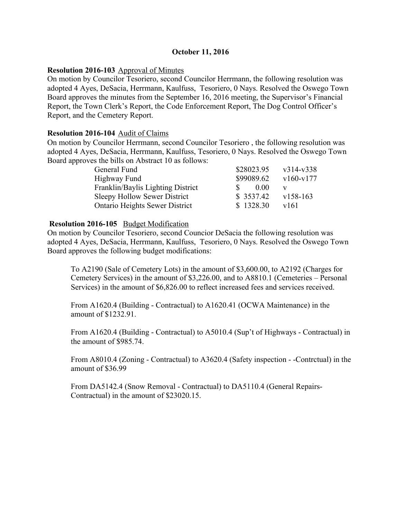## **October 11, 2016**

## **Resolution 2016-103** Approval of Minutes

On motion by Councilor Tesoriero, second Councilor Herrmann, the following resolution was adopted 4 Ayes, DeSacia, Herrmann, Kaulfuss, Tesoriero, 0 Nays. Resolved the Oswego Town Board approves the minutes from the September 16, 2016 meeting, the Supervisor's Financial Report, the Town Clerk's Report, the Code Enforcement Report, The Dog Control Officer's Report, and the Cemetery Report.

## **Resolution 2016-104** Audit of Claims

On motion by Councilor Herrmann, second Councilor Tesoriero , the following resolution was adopted 4 Ayes, DeSacia, Herrmann, Kaulfuss, Tesoriero, 0 Nays. Resolved the Oswego Town Board approves the bills on Abstract 10 as follows:

| \$28023.95 | $v314-v338$ |
|------------|-------------|
| \$99089.62 | $v160-v177$ |
| 0.00       |             |
| \$3537.42  | $v158-163$  |
| \$1328.30  | y161        |
|            |             |

## **Resolution 2016-105** Budget Modification

On motion by Councilor Tesoriero, second Councior DeSacia the following resolution was adopted 4 Ayes, DeSacia, Herrmann, Kaulfuss, Tesoriero, 0 Nays. Resolved the Oswego Town Board approves the following budget modifications:

To A2190 (Sale of Cemetery Lots) in the amount of \$3,600.00, to A2192 (Charges for Cemetery Services) in the amount of \$3,226.00, and to A8810.1 (Cemeteries – Personal Services) in the amount of \$6,826.00 to reflect increased fees and services received.

From A1620.4 (Building - Contractual) to A1620.41 (OCWA Maintenance) in the amount of \$1232.91.

From A1620.4 (Building - Contractual) to A5010.4 (Sup't of Highways - Contractual) in the amount of \$985.74.

From A8010.4 (Zoning - Contractual) to A3620.4 (Safety inspection - -Contrctual) in the amount of \$36.99

From DA5142.4 (Snow Removal - Contractual) to DA5110.4 (General Repairs-Contractual) in the amount of \$23020.15.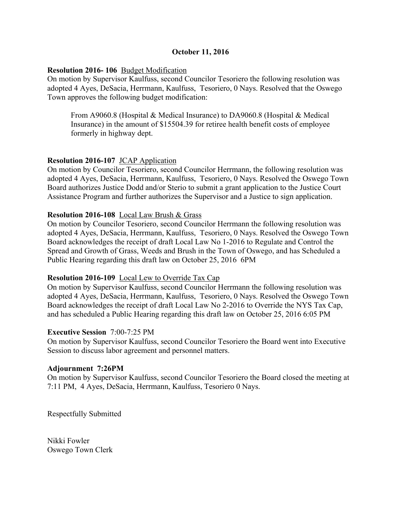## **October 11, 2016**

## **Resolution 2016- 106** Budget Modification

On motion by Supervisor Kaulfuss, second Councilor Tesoriero the following resolution was adopted 4 Ayes, DeSacia, Herrmann, Kaulfuss, Tesoriero, 0 Nays. Resolved that the Oswego Town approves the following budget modification:

From A9060.8 (Hospital & Medical Insurance) to DA9060.8 (Hospital & Medical Insurance) in the amount of \$15504.39 for retiree health benefit costs of employee formerly in highway dept.

## **Resolution 2016-107** JCAP Application

On motion by Councilor Tesoriero, second Councilor Herrmann, the following resolution was adopted 4 Ayes, DeSacia, Herrmann, Kaulfuss, Tesoriero, 0 Nays. Resolved the Oswego Town Board authorizes Justice Dodd and/or Sterio to submit a grant application to the Justice Court Assistance Program and further authorizes the Supervisor and a Justice to sign application.

## **Resolution 2016-108** Local Law Brush & Grass

On motion by Councilor Tesoriero, second Councilor Herrmann the following resolution was adopted 4 Ayes, DeSacia, Herrmann, Kaulfuss, Tesoriero, 0 Nays. Resolved the Oswego Town Board acknowledges the receipt of draft Local Law No 1-2016 to Regulate and Control the Spread and Growth of Grass, Weeds and Brush in the Town of Oswego, and has Scheduled a Public Hearing regarding this draft law on October 25, 2016 6PM

## **Resolution 2016-109** Local Lew to Override Tax Cap

On motion by Supervisor Kaulfuss, second Councilor Herrmann the following resolution was adopted 4 Ayes, DeSacia, Herrmann, Kaulfuss, Tesoriero, 0 Nays. Resolved the Oswego Town Board acknowledges the receipt of draft Local Law No 2-2016 to Override the NYS Tax Cap, and has scheduled a Public Hearing regarding this draft law on October 25, 2016 6:05 PM

## **Executive Session** 7:00-7:25 PM

On motion by Supervisor Kaulfuss, second Councilor Tesoriero the Board went into Executive Session to discuss labor agreement and personnel matters.

## **Adjournment 7:26PM**

On motion by Supervisor Kaulfuss, second Councilor Tesoriero the Board closed the meeting at 7:11 PM, 4 Ayes, DeSacia, Herrmann, Kaulfuss, Tesoriero 0 Nays.

Respectfully Submitted

Nikki Fowler Oswego Town Clerk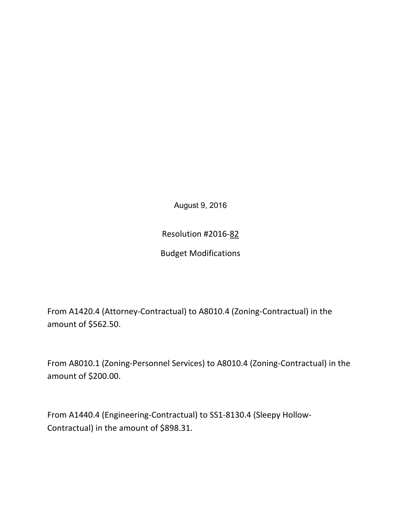August 9, 2016

Resolution #2016-82

**Budget Modifications** 

From A1420.4 (Attorney-Contractual) to A8010.4 (Zoning-Contractual) in the amount of \$562.50.

From A8010.1 (Zoning-Personnel Services) to A8010.4 (Zoning-Contractual) in the amount of \$200.00.

From A1440.4 (Engineering-Contractual) to SS1-8130.4 (Sleepy Hollow-Contractual) in the amount of \$898.31.